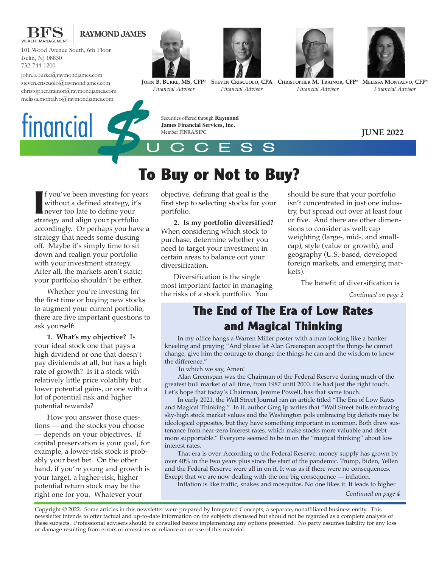

#### **RAYMOND JAMES**

101 Wood Avenue South, 6th Floor Iselin, NJ 08830 732-744-1200

john.b.burke@raymondjames.com steven.criscuolo@raymondjames.com christopher.trainor@raymondjames.com melissa.montalvo@raymondjames.com

tinancial





**JOHN B. BURKE, MS, CFP®** *Financial Advisor*

Member FINRA/SIPC

*Financial Advisor*



**STEVEN CRISCUOLO, CPA CHRISTOPHER M. TRAINOR, CFP®** *Financial Advisor*



**MELISSA MONTALVO, CFP®** *Financial Advisor*

**JUNE 2022**

**I** f you've been investing for ye without a defined strategy, it's never too late to define your strategy and align your portfolio f you've been investing for years without a defined strategy, it's never too late to define your accordingly. Or perhaps you have a strategy that needs some dusting off. Maybe it's simply time to sit down and realign your portfolio with your investment strategy. After all, the markets aren't static; your portfolio shouldn't be either.

Whether you're investing for the first time or buying new stocks to augment your current portfolio, there are five important questions to ask yourself:

**1. What's my objective?** Is your ideal stock one that pays a high dividend or one that doesn't pay dividends at all, but has a high rate of growth? Is it a stock with relatively little price volatility but lower potential gains, or one with a lot of potential risk and higher potential rewards?

How you answer those questions — and the stocks you choose — depends on your objectives. If capital preservation is your goal, for example, a lower-risk stock is probably your best bet. On the other hand, if you're young and growth is your target, a higher-risk, higher potential return stock may be the right one for you. Whatever your

objective, defining that goal is the first step to selecting stocks for your portfolio.

**2. Is my portfolio diversified?** When considering which stock to purchase, determine whether you need to target your investment in certain areas to balance out your diversification.

Diversification is the single most important factor in managing the risks of a stock portfolio. You

should be sure that your portfolio isn't concentrated in just one industry, but spread out over at least four or five. And there are other dimensions to consider as well: cap weighting (large-, mid-, and smallcap), style (value or growth), and geography (U.S.-based, developed foreign markets, and emerging markets).

The benefit of diversification is

*Continued on page 2*

## **The End of The Era of Low Rates and Magical Thinking**

In my office hangs a Warren Miller poster with a man looking like a banker kneeling and praying "And please let Alan Greenspan accept the things he cannot change, give him the courage to change the things he can and the wisdom to know the difference."

To which we say, Amen!

Alan Greenspan was the Chairman of the Federal Reserve during much of the greatest bull market of all time, from 1987 until 2000. He had just the right touch. Let's hope that today's Chairman, Jerome Powell, has that same touch.

In early 2021, the Wall Street Journal ran an article titled "The Era of Low Rates and Magical Thinking." In it, author Greg Ip writes that "Wall Street bulls embracing sky-high stock market values and the Washington pols embracing big deficits may be ideological opposites, but they have something important in common. Both draw sustenance from near-zero interest rates, which make stocks more valuable and debt more supportable." Everyone seemed to be in on the "magical thinking" about low interest rates.

That era is over. According to the Federal Reserve, money supply has grown by over 40% in the two years plus since the start of the pandemic. Trump, Biden, Yellen and the Federal Reserve were all in on it. It was as if there were no consequences. Except that we are now dealing with the one big consequence — inflation.

Inflation is like traffic, snakes and mosquitos. No one likes it. It leads to higher

*Continued on page 4*

Copyright © 2022. Some articles in this newsletter were prepared by Integrated Concepts, a separate, nonaffiliated business entity. This newsletter intends to offer factual and up-to-date information on the subjects discussed but should not be regarded as a complete analysis of these subjects. Professional advisers should be consulted before implementing any options presented. No party assumes liability for any loss or damage resulting from errors or omissions or reliance on or use of this material.

# **To Buy or Not to Buy?** \$

UCCESS

Securities offered through **Raymond James Financial Services, Inc.**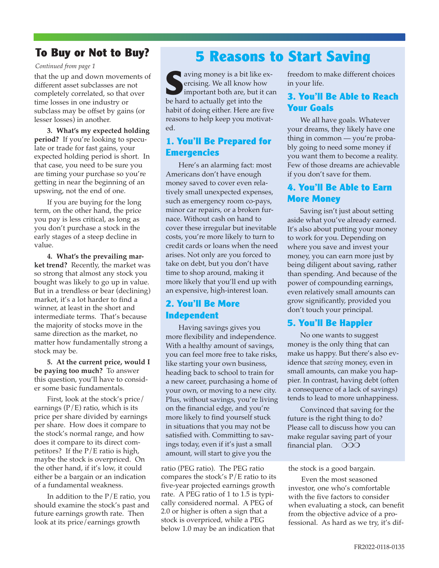## **To Buy or Not to Buy?**

*Continued from page 1*

that the up and down movements of different asset subclasses are not completely correlated, so that over time losses in one industry or subclass may be offset by gains (or lesser losses) in another.

**3. What's my expected holding period?** If you're looking to speculate or trade for fast gains, your expected holding period is short. In that case, you need to be sure you are timing your purchase so you're getting in near the beginning of an upswing, not the end of one.

If you are buying for the long term, on the other hand, the price you pay is less critical, as long as you don't purchase a stock in the early stages of a steep decline in value.

**4. What's the prevailing market trend?** Recently, the market was so strong that almost any stock you bought was likely to go up in value. But in a trendless or bear (declining) market, it's a lot harder to find a winner, at least in the short and intermediate terms. That's because the majority of stocks move in the same direction as the market, no matter how fundamentally strong a stock may be.

**5. At the current price, would I be paying too much?** To answer this question, you'll have to consider some basic fundamentals.

First, look at the stock's price/ earnings  $(P/E)$  ratio, which is its price per share divided by earnings per share. How does it compare to the stock's normal range, and how does it compare to its direct competitors? If the P/E ratio is high, maybe the stock is overpriced. On the other hand, if it's low, it could either be a bargain or an indication of a fundamental weakness.

In addition to the  $P/E$  ratio, you should examine the stock's past and future earnings growth rate. Then look at its price/earnings growth

# **5 Reasons to Start Saving**

**S**aving money is a bit like exercising. We all know how important both are, but it can be hard to actually get into the habit of doing either. Here are five reasons to help keep you motivated.

#### **1. You'll Be Prepared for Emergencies**

Here's an alarming fact: most Americans don't have enough money saved to cover even relatively small unexpected expenses, such as emergency room co-pays, minor car repairs, or a broken furnace. Without cash on hand to cover these irregular but inevitable costs, you're more likely to turn to credit cards or loans when the need arises. Not only are you forced to take on debt, but you don't have time to shop around, making it more likely that you'll end up with an expensive, high-interest loan.

#### **2. You'll Be More Independent**

Having savings gives you more flexibility and independence. With a healthy amount of savings, you can feel more free to take risks, like starting your own business, heading back to school to train for a new career, purchasing a home of your own, or moving to a new city. Plus, without savings, you're living on the financial edge, and you're more likely to find yourself stuck in situations that you may not be satisfied with. Committing to savings today, even if it's just a small amount, will start to give you the

ratio (PEG ratio). The PEG ratio compares the stock's  $P/E$  ratio to its five-year projected earnings growth rate. A PEG ratio of 1 to 1.5 is typically considered normal. A PEG of 2.0 or higher is often a sign that a stock is overpriced, while a PEG below 1.0 may be an indication that

freedom to make different choices in your life.

#### **3. You'll Be Able to Reach Your Goals**

We all have goals. Whatever your dreams, they likely have one thing in common — you're probably going to need some money if you want them to become a reality. Few of those dreams are achievable if you don't save for them.

#### **4. You'll Be Able to Earn More Money**

Saving isn't just about setting aside what you've already earned. It's also about putting your money to work for you. Depending on where you save and invest your money, you can earn more just by being diligent about saving, rather than spending. And because of the power of compounding earnings, even relatively small amounts can grow significantly, provided you don't touch your principal.

#### **5. You'll Be Happier**

No one wants to suggest money is the only thing that can make us happy. But there's also evidence that *saving* money, even in small amounts, can make you happier. In contrast, having debt (often a consequence of a lack of savings) tends to lead to more unhappiness.

Convinced that saving for the future is the right thing to do? Please call to discuss how you can make regular saving part of your financial plan. OOO

the stock is a good bargain.

Even the most seasoned investor, one who's comfortable with the five factors to consider when evaluating a stock, can benefit from the objective advice of a professional. As hard as we try, it's dif-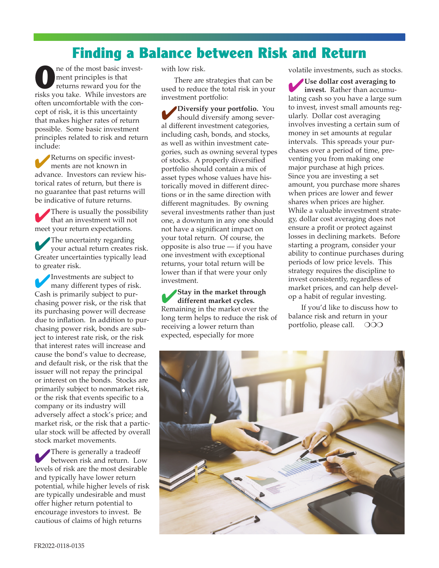# **Finding a Balance between Risk and Return**

ne of the most basic investment principles is that returns reward you for the risks you take. While investors are often uncomfortable with the concept of risk, it is this uncertainty that makes higher rates of return possible. Some basic investment principles related to risk and return include:

4Returns on specific investments are not known in advance. Investors can review historical rates of return, but there is no guarantee that past returns will be indicative of future returns.

4There is usually the possibility that an investment will not meet your return expectations.

The uncertainty regarding your actual return creates risk. Greater uncertainties typically lead to greater risk.

4Investments are subject to many different types of risk. Cash is primarily subject to purchasing power risk, or the risk that its purchasing power will decrease due to inflation. In addition to purchasing power risk, bonds are subject to interest rate risk, or the risk that interest rates will increase and cause the bond's value to decrease, and default risk, or the risk that the issuer will not repay the principal or interest on the bonds. Stocks are primarily subject to nonmarket risk, or the risk that events specific to a company or its industry will adversely affect a stock's price; and market risk, or the risk that a particular stock will be affected by overall stock market movements.

There is generally a tradeoff between risk and return. Low levels of risk are the most desirable and typically have lower return potential, while higher levels of risk are typically undesirable and must offer higher return potential to encourage investors to invest. Be cautious of claims of high returns

with low risk.

There are strategies that can be used to reduce the total risk in your investment portfolio:

4**Diversify your portfolio.** You should diversify among several different investment categories, including cash, bonds, and stocks, as well as within investment categories, such as owning several types of stocks. A properly diversified portfolio should contain a mix of asset types whose values have historically moved in different directions or in the same direction with different magnitudes. By owning several investments rather than just one, a downturn in any one should not have a significant impact on your total return. Of course, the opposite is also true — if you have one investment with exceptional returns, your total return will be lower than if that were your only investment.

4**Stay in the market through different market cycles.** Remaining in the market over the long term helps to reduce the risk of receiving a lower return than expected, especially for more

volatile investments, such as stocks.

4**Use dollar cost averaging to invest.** Rather than accumulating cash so you have a large sum to invest, invest small amounts regularly. Dollar cost averaging involves investing a certain sum of money in set amounts at regular intervals. This spreads your purchases over a period of time, preventing you from making one major purchase at high prices. Since you are investing a set amount, you purchase more shares when prices are lower and fewer shares when prices are higher. While a valuable investment strategy, dollar cost averaging does not ensure a profit or protect against losses in declining markets. Before starting a program, consider your ability to continue purchases during periods of low price levels. This strategy requires the discipline to invest consistently, regardless of market prices, and can help develop a habit of regular investing.

If you'd like to discuss how to balance risk and return in your portfolio, please call.  $\circ$  OOO